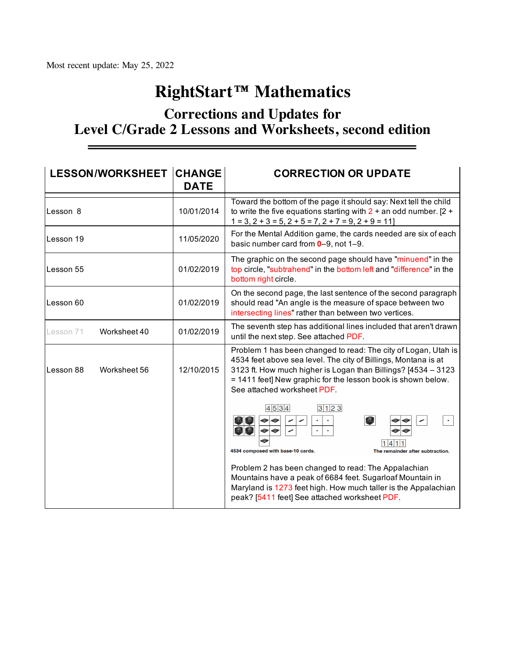## **RightStart™ Mathematics**

## **Corrections and Updates for Level C/Grade 2 Lessons and Worksheets, second edition**

| <b>LESSON/WORKSHEET CHANGE</b> | <b>DATE</b> | <b>CORRECTION OR UPDATE</b>                                                                                                                                                                                                                                                                      |
|--------------------------------|-------------|--------------------------------------------------------------------------------------------------------------------------------------------------------------------------------------------------------------------------------------------------------------------------------------------------|
| Lesson 8                       | 10/01/2014  | Toward the bottom of the page it should say: Next tell the child<br>to write the five equations starting with $2 +$ an odd number. [2 +<br>$1 = 3$ , $2 + 3 = 5$ , $2 + 5 = 7$ , $2 + 7 = 9$ , $2 + 9 = 11$                                                                                      |
| Lesson 19                      | 11/05/2020  | For the Mental Addition game, the cards needed are six of each<br>basic number card from 0-9, not 1-9.                                                                                                                                                                                           |
| Lesson 55                      | 01/02/2019  | The graphic on the second page should have "minuend" in the<br>top circle, "subtrahend" in the bottom left and "difference" in the<br>bottom right circle.                                                                                                                                       |
| Lesson 60                      | 01/02/2019  | On the second page, the last sentence of the second paragraph<br>should read "An angle is the measure of space between two<br>intersecting lines" rather than between two vertices.                                                                                                              |
| Worksheet 40<br>Lesson 71      | 01/02/2019  | The seventh step has additional lines included that aren't drawn<br>until the next step. See attached PDF.                                                                                                                                                                                       |
| Lesson 88<br>Worksheet 56      | 12/10/2015  | Problem 1 has been changed to read: The city of Logan, Utah is<br>4534 feet above sea level. The city of Billings, Montana is at<br>3123 ft. How much higher is Logan than Billings? [4534 - 3123<br>= 1411 feet] New graphic for the lesson book is shown below.<br>See attached worksheet PDF. |
|                                |             | 3123<br>4 5 3 4<br>$\bullet$<br><b>M</b><br>صم<br><b>M</b><br>4534 composed with base-10 cards.<br>The remainder after subtraction.                                                                                                                                                              |
|                                |             | Problem 2 has been changed to read: The Appalachian<br>Mountains have a peak of 6684 feet. Sugarloaf Mountain in<br>Maryland is 1273 feet high. How much taller is the Appalachian<br>peak? [5411 feet] See attached worksheet PDF.                                                              |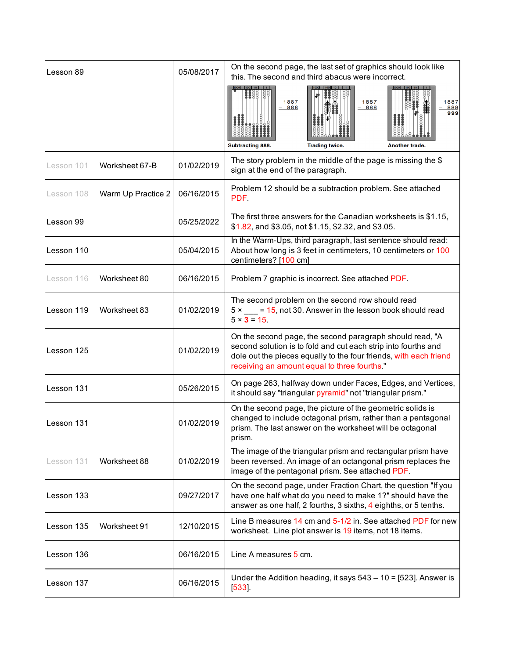| Lesson 89  |                    | 05/08/2017 | On the second page, the last set of graphics should look like<br>this. The second and third abacus were incorrect.                                                                                                                              |
|------------|--------------------|------------|-------------------------------------------------------------------------------------------------------------------------------------------------------------------------------------------------------------------------------------------------|
|            |                    |            | 1887<br>1887<br>1887<br>$-888$<br>$-888$<br>888<br>999<br>Subtracting 888.<br><b>Trading twice.</b><br>Another trade.                                                                                                                           |
| Lesson 101 | Worksheet 67-B     | 01/02/2019 | The story problem in the middle of the page is missing the $$$<br>sign at the end of the paragraph.                                                                                                                                             |
| Lesson 108 | Warm Up Practice 2 | 06/16/2015 | Problem 12 should be a subtraction problem. See attached<br>PDF.                                                                                                                                                                                |
| Lesson 99  |                    | 05/25/2022 | The first three answers for the Canadian worksheets is \$1.15,<br>\$1.82, and \$3.05, not \$1.15, \$2.32, and \$3.05.                                                                                                                           |
| Lesson 110 |                    | 05/04/2015 | In the Warm-Ups, third paragraph, last sentence should read:<br>About how long is 3 feet in centimeters, 10 centimeters or 100<br>centimeters? [100 cm]                                                                                         |
| Lesson 116 | Worksheet 80       | 06/16/2015 | Problem 7 graphic is incorrect. See attached PDF.                                                                                                                                                                                               |
| Lesson 119 | Worksheet 83       | 01/02/2019 | The second problem on the second row should read<br>$5 \times \underline{\hspace{1cm}} = 15$ , not 30. Answer in the lesson book should read<br>$5 \times 3 = 15$ .                                                                             |
| Lesson 125 |                    | 01/02/2019 | On the second page, the second paragraph should read, "A<br>second solution is to fold and cut each strip into fourths and<br>dole out the pieces equally to the four friends, with each friend<br>receiving an amount equal to three fourths." |
| Lesson 131 |                    | 05/26/2015 | On page 263, halfway down under Faces, Edges, and Vertices,<br>it should say "triangular pyramid" not "triangular prism."                                                                                                                       |
| Lesson 131 |                    | 01/02/2019 | On the second page, the picture of the geometric solids is<br>changed to include octagonal prism, rather than a pentagonal<br>prism. The last answer on the worksheet will be octagonal<br>prism.                                               |
| Lesson 131 | Worksheet 88       | 01/02/2019 | The image of the triangular prism and rectangular prism have<br>been reversed. An image of an octangonal prism replaces the<br>image of the pentagonal prism. See attached PDF.                                                                 |
| Lesson 133 |                    | 09/27/2017 | On the second page, under Fraction Chart, the question "If you<br>have one half what do you need to make 1?" should have the<br>answer as one half, 2 fourths, 3 sixths, 4 eighths, or 5 tenths.                                                |
| Lesson 135 | Worksheet 91       | 12/10/2015 | Line B measures 14 cm and 5-1/2 in. See attached PDF for new<br>worksheet. Line plot answer is 19 items, not 18 items.                                                                                                                          |
| Lesson 136 |                    | 06/16/2015 | Line A measures 5 cm.                                                                                                                                                                                                                           |
| Lesson 137 |                    | 06/16/2015 | Under the Addition heading, it says $543 - 10 = [523]$ . Answer is<br>[533]                                                                                                                                                                     |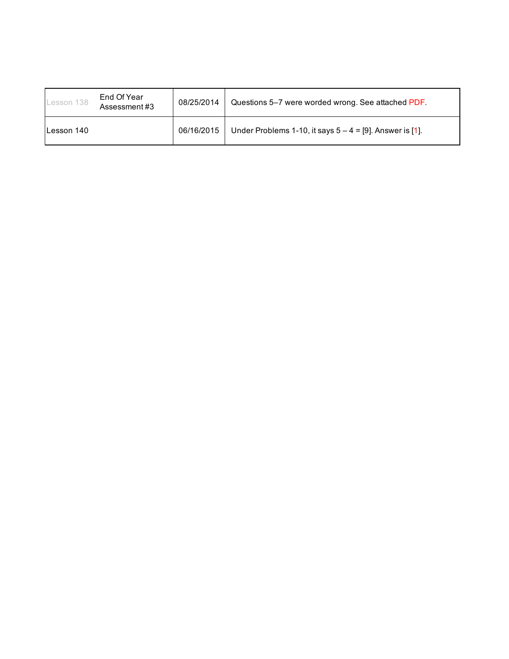| Lesson 138 | End Of Year<br>Assessment#3 | 08/25/2014 | Questions 5–7 were worded wrong. See attached PDF.          |
|------------|-----------------------------|------------|-------------------------------------------------------------|
| Lesson 140 |                             | 06/16/2015 | Under Problems 1-10, it says $5 - 4 = [9]$ . Answer is [1]. |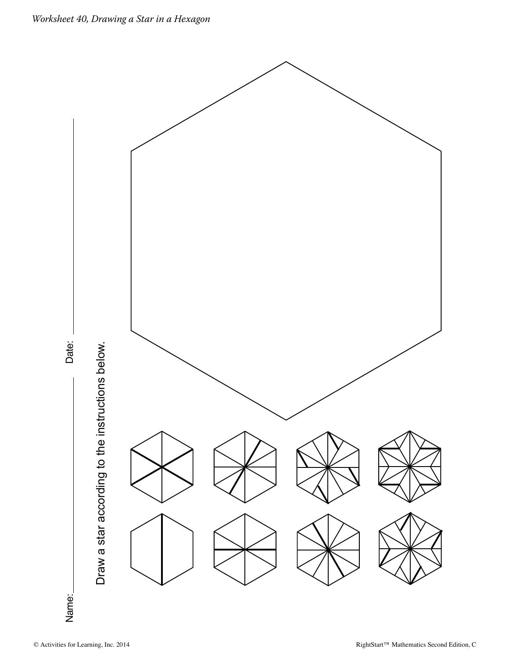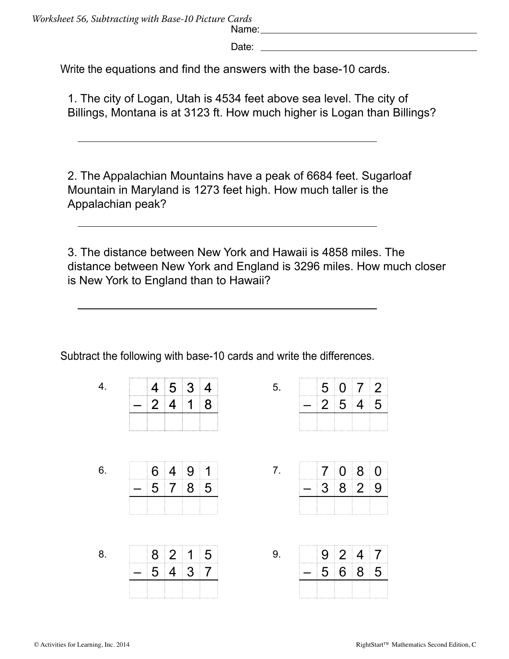Date: <u>Date:</u> 2004 **Date:** 2004 **Date:** 2004 **Date:** 2004 **Date:** 2004

Write the equations and find the answers with the base-10 cards.

1. The city of Logan, Utah is 4534 feet above sea level. The city of Billings, Montana is at 3123 ft. How much higher is Logan than Billings?

2. The Appalachian Mountains have a peak of 6684 feet. Sugarloaf Mountain in Maryland is 1273 feet high. How much taller is the Appalachian peak?

3. The distance between New York and Hawaii is 4858 miles. The distance between New York and England is 3296 miles. How much closer is New York to England than to Hawaii?

5.

7.

Subtract the following with base-10 cards and write the differences.

|                            | $4 \ 5 \ 3 \ 4$ |    |  |
|----------------------------|-----------------|----|--|
| $\begin{array}{ c c }$ 2 4 |                 | 18 |  |
|                            |                 |    |  |

6.

4.

| 6. | $\overline{4}$ | -9             |   |
|----|----------------|----------------|---|
| 5  | $\overline{7}$ | 8 <sup>1</sup> | 5 |
|    |                |                |   |

 8 2 1 5 – 5 4 3 7

8.

| $5\overline{5}$<br>$2 \overline{5}$<br>$\vert 4 \vert$ |
|--------------------------------------------------------|
|                                                        |

Name: Name: Name: Name: Name: Name: Name: Name: Name: Name: Name: Name: Name: Name: Name: Name: Name: Name: Name: Name: Name: Name: Name: Name: Name: Name: Name: Name: Name: Name: Name: Name: Name: Name: Name: Name: Name:

|   | 7080   |  |
|---|--------|--|
| — | $3829$ |  |
|   |        |  |

| 9. |          | $9 \mid 2 \mid 4$ | $\overline{7}$ |
|----|----------|-------------------|----------------|
|    | $\equiv$ | 5685              |                |
|    |          |                   |                |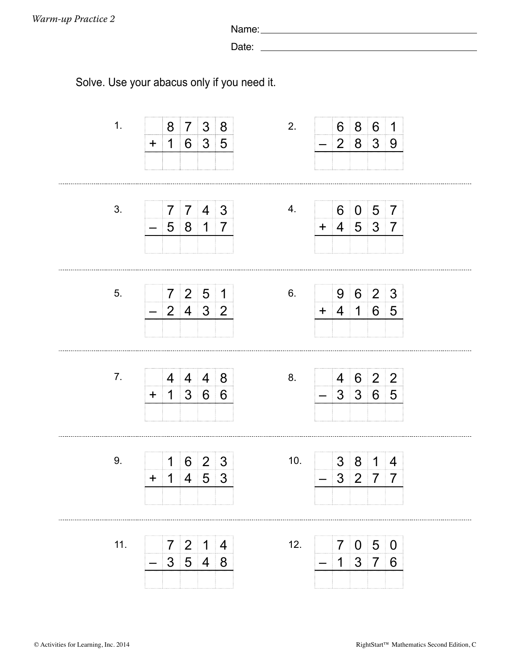Name:

Date:

Solve. Use your abacus only if you need it.

| 1.  | 8<br>$\mathbf 1$<br>$\ddot{}$              | $\overline{7}$                                                                         | 3 8<br>6 3 5                                                  | 2.  |                          | 6<br>$\overline{2}$           | 8<br>8                        | 6<br>3                           | $\mathbf 1$<br>9                  |  |
|-----|--------------------------------------------|----------------------------------------------------------------------------------------|---------------------------------------------------------------|-----|--------------------------|-------------------------------|-------------------------------|----------------------------------|-----------------------------------|--|
|     |                                            |                                                                                        |                                                               |     |                          |                               |                               |                                  |                                   |  |
| 3.  | $\overline{7}$<br>$\overline{\phantom{0}}$ | $7 \vert 4 \vert$                                                                      | $\mathbf{3}$<br>$5817$                                        | 4.  |                          | 6<br>$+ 4 5 3 7$              | $\overline{0}$                | 5                                | $\overline{7}$                    |  |
|     |                                            |                                                                                        |                                                               |     |                          |                               |                               |                                  |                                   |  |
| 5.  | $\overline{7}$                             | 2 <sup>2</sup>                                                                         | $5\overline{)}$<br>$\overline{1}$<br>$2 \mid 4 \mid 3 \mid 2$ | 6.  | $+$                      | 9<br>$\overline{4}$           | $6\phantom{1}$<br>$\mathbf 1$ | $\overline{2}$<br>$\overline{6}$ | $\mathfrak{Z}$<br>$5\overline{)}$ |  |
|     |                                            |                                                                                        |                                                               |     |                          |                               |                               |                                  |                                   |  |
| 7.  | 4<br>$+$                                   | $\overline{4}$<br>$1 \overline{\smash{)}3 \overline{\smash{)}}6 \overline{\smash{)}}6$ | 4 8                                                           | 8.  |                          | 4<br>$3 \mid 3 \mid 6 \mid 5$ |                               | $6 \mid 2 \mid 2$                |                                   |  |
|     |                                            |                                                                                        |                                                               |     |                          |                               |                               |                                  |                                   |  |
| 9.  | 1<br>1<br>$\ddot{}$                        | $\overline{4}$                                                                         | 623<br>$\overline{5}$<br>3                                    | 10. | $\overline{\phantom{0}}$ | 3 <sup>1</sup><br>3           | 8<br>$\overline{2}$           | $\mathbf 1$<br>$\overline{7}$    | $\overline{4}$<br>$\overline{7}$  |  |
|     |                                            |                                                                                        |                                                               |     |                          |                               |                               |                                  |                                   |  |
| 11. | $\overline{7}$                             | $\overline{2}$                                                                         | $\mathbf 1$<br>$\overline{4}$                                 | 12. |                          | $\overline{7}$                | $\overline{0}$                | 5                                | $\mathbf 0$                       |  |
|     | 3                                          | $5\overline{)}$                                                                        | $\overline{4}$<br>8                                           |     |                          | 1                             | 3                             | $\overline{7}$                   | 6                                 |  |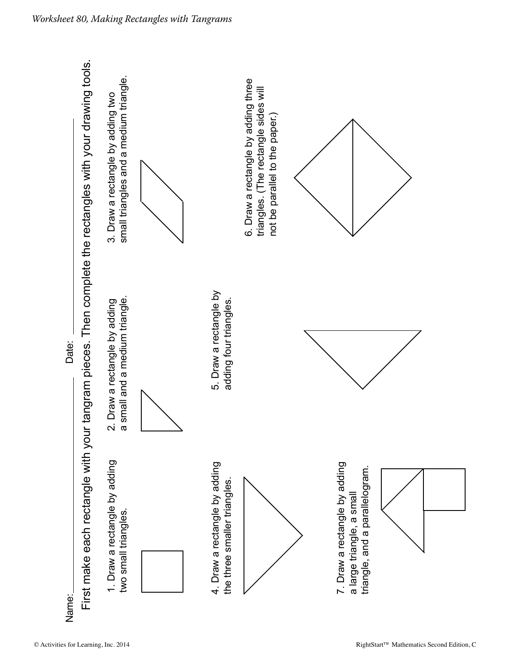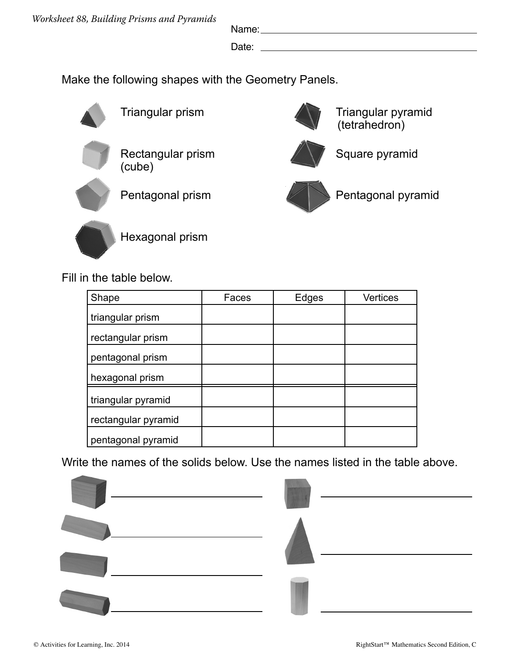Name:

Date:

Make the following shapes with the Geometry Panels.



Triangular prism



Rectangular prism (cube)



Pentagonal prism



Hexagonal prism

Fill in the table below.

| Shape               | Faces | Edges | <b>Vertices</b> |
|---------------------|-------|-------|-----------------|
| triangular prism    |       |       |                 |
| rectangular prism   |       |       |                 |
| pentagonal prism    |       |       |                 |
| hexagonal prism     |       |       |                 |
| triangular pyramid  |       |       |                 |
| rectangular pyramid |       |       |                 |
| pentagonal pyramid  |       |       |                 |

Write the names of the solids below. Use the names listed in the table above.





Triangular pyramid

Square pyramid

(tetrahedron)

Pentagonal pyramid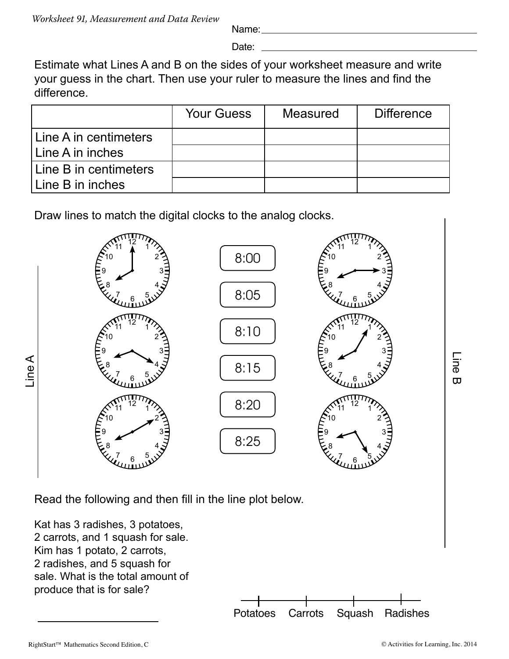Name:

Date:

Estimate what Lines A and B on the sides of your worksheet measure and write your guess in the chart. Then use your ruler to measure the lines and find the difference.

|                       | <b>Your Guess</b> | <b>Measured</b> | <b>Difference</b> |
|-----------------------|-------------------|-----------------|-------------------|
| Line A in centimeters |                   |                 |                   |
| Line A in inches      |                   |                 |                   |
| Line B in centimeters |                   |                 |                   |
| Line B in inches      |                   |                 |                   |

Draw lines to match the digital clocks to the analog clocks.



Read the following and then fill in the line plot below.

Kat has 3 radishes, 3 potatoes, 2 carrots, and 1 squash for sale. Kim has 1 potato, 2 carrots, 2 radishes, and 5 squash for sale. What is the total amount of produce that is for sale?



RightStart™ Mathematics Second Edition, C<br>
© Activities for Learning, Inc. 2014

Line B